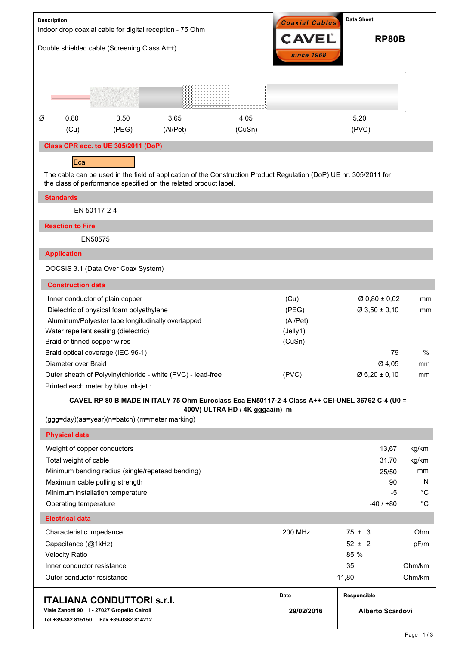| <b>Description</b>                                                                                                            |                                                                                                                                   | Double shielded cable (Screening Class A++)                                 | Indoor drop coaxial cable for digital reception - 75 Ohm         | Coaxial Cables<br><b>CAVEL</b><br>since 1968 | <b>Data Sheet</b><br><b>RP80B</b>                                                                                  |                                                        |                                  |  |
|-------------------------------------------------------------------------------------------------------------------------------|-----------------------------------------------------------------------------------------------------------------------------------|-----------------------------------------------------------------------------|------------------------------------------------------------------|----------------------------------------------|--------------------------------------------------------------------------------------------------------------------|--------------------------------------------------------|----------------------------------|--|
|                                                                                                                               |                                                                                                                                   |                                                                             |                                                                  |                                              |                                                                                                                    |                                                        |                                  |  |
| Ø                                                                                                                             | 0,80<br>(Cu)                                                                                                                      | 3,50<br>(PEG)                                                               | 3,65<br>(Al/Pet)                                                 | 4,05<br>(CuSn)                               |                                                                                                                    | 5,20<br>(PVC)                                          |                                  |  |
|                                                                                                                               |                                                                                                                                   | Class CPR acc. to UE 305/2011 (DoP)                                         |                                                                  |                                              |                                                                                                                    |                                                        |                                  |  |
|                                                                                                                               | Eca                                                                                                                               |                                                                             | the class of performance specified on the related product label. |                                              | The cable can be used in the field of application of the Construction Product Regulation (DoP) UE nr. 305/2011 for |                                                        |                                  |  |
|                                                                                                                               | <b>Standards</b><br>EN 50117-2-4                                                                                                  |                                                                             |                                                                  |                                              |                                                                                                                    |                                                        |                                  |  |
|                                                                                                                               | <b>Reaction to Fire</b>                                                                                                           |                                                                             |                                                                  |                                              |                                                                                                                    |                                                        |                                  |  |
|                                                                                                                               | EN50575                                                                                                                           |                                                                             |                                                                  |                                              |                                                                                                                    |                                                        |                                  |  |
|                                                                                                                               | <b>Application</b>                                                                                                                |                                                                             |                                                                  |                                              |                                                                                                                    |                                                        |                                  |  |
|                                                                                                                               |                                                                                                                                   | DOCSIS 3.1 (Data Over Coax System)                                          |                                                                  |                                              |                                                                                                                    |                                                        |                                  |  |
|                                                                                                                               | <b>Construction data</b>                                                                                                          |                                                                             |                                                                  |                                              |                                                                                                                    |                                                        |                                  |  |
|                                                                                                                               |                                                                                                                                   | Inner conductor of plain copper<br>Dielectric of physical foam polyethylene | Aluminum/Polyester tape longitudinally overlapped                |                                              | (Cu)<br>(PEG)<br>(Al/Pet)<br>(Jelly1)                                                                              | $\varnothing$ 0,80 ± 0,02<br>$\varnothing$ 3,50 ± 0,10 | mm<br>mm                         |  |
|                                                                                                                               | Water repellent sealing (dielectric)<br>Braid of tinned copper wires                                                              |                                                                             |                                                                  |                                              | (CuSn)                                                                                                             |                                                        |                                  |  |
|                                                                                                                               |                                                                                                                                   | Braid optical coverage (IEC 96-1)                                           |                                                                  |                                              |                                                                                                                    | 79                                                     | %                                |  |
|                                                                                                                               | Diameter over Braid                                                                                                               |                                                                             |                                                                  |                                              | (PVC)                                                                                                              | Ø 4,05<br>$\varnothing$ 5,20 ± 0,10                    | mm<br>mm                         |  |
|                                                                                                                               | Outer sheath of Polyvinylchloride - white (PVC) - lead-free<br>Printed each meter by blue ink-jet :                               |                                                                             |                                                                  |                                              |                                                                                                                    |                                                        |                                  |  |
|                                                                                                                               | CAVEL RP 80 B MADE IN ITALY 75 Ohm Euroclass Eca EN50117-2-4 Class A++ CEI-UNEL 36762 C-4 (U0 =<br>400V) ULTRA HD / 4K gggaa(n) m |                                                                             |                                                                  |                                              |                                                                                                                    |                                                        |                                  |  |
|                                                                                                                               |                                                                                                                                   | (ggg=day)(aa=year)(n=batch) (m=meter marking)                               |                                                                  |                                              |                                                                                                                    |                                                        |                                  |  |
|                                                                                                                               | <b>Physical data</b>                                                                                                              |                                                                             |                                                                  |                                              |                                                                                                                    |                                                        |                                  |  |
|                                                                                                                               | Weight of copper conductors<br>Total weight of cable                                                                              |                                                                             | Minimum bending radius (single/repetead bending)                 |                                              |                                                                                                                    | 13,67<br>31,70<br>25/50                                | kg/km<br>kg/km<br>mm             |  |
|                                                                                                                               | Operating temperature                                                                                                             | Maximum cable pulling strength<br>Minimum installation temperature          |                                                                  |                                              |                                                                                                                    | 90<br>-5<br>$-40/+80$                                  | N.<br>$^{\circ}C$<br>$^{\circ}C$ |  |
|                                                                                                                               | <b>Electrical data</b>                                                                                                            |                                                                             |                                                                  |                                              |                                                                                                                    |                                                        |                                  |  |
|                                                                                                                               | Characteristic impedance                                                                                                          |                                                                             |                                                                  |                                              | 200 MHz                                                                                                            | $75 \pm 3$                                             | Ohm                              |  |
|                                                                                                                               | Capacitance (@1kHz)                                                                                                               |                                                                             |                                                                  |                                              |                                                                                                                    | $52 \pm 2$                                             | pF/m                             |  |
| <b>Velocity Ratio</b>                                                                                                         |                                                                                                                                   |                                                                             |                                                                  |                                              |                                                                                                                    | 85 %                                                   |                                  |  |
|                                                                                                                               | Inner conductor resistance<br>Outer conductor resistance                                                                          |                                                                             |                                                                  |                                              |                                                                                                                    | 35<br>11,80                                            | Ohm/km<br>Ohm/km                 |  |
|                                                                                                                               |                                                                                                                                   |                                                                             |                                                                  |                                              | Date<br>29/02/2016                                                                                                 | Responsible                                            |                                  |  |
| <b>ITALIANA CONDUTTORI s.r.I.</b><br>Viale Zanotti 90   - 27027 Gropello Cairoli<br>Tel +39-382.815150    Fax +39-0382.814212 |                                                                                                                                   |                                                                             |                                                                  | <b>Alberto Scardovi</b>                      |                                                                                                                    |                                                        |                                  |  |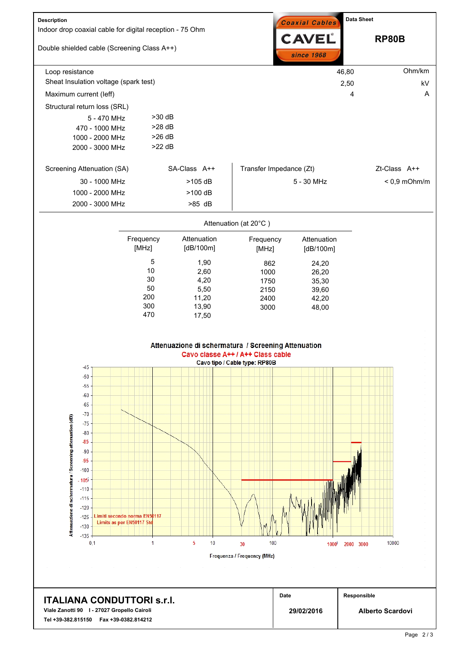